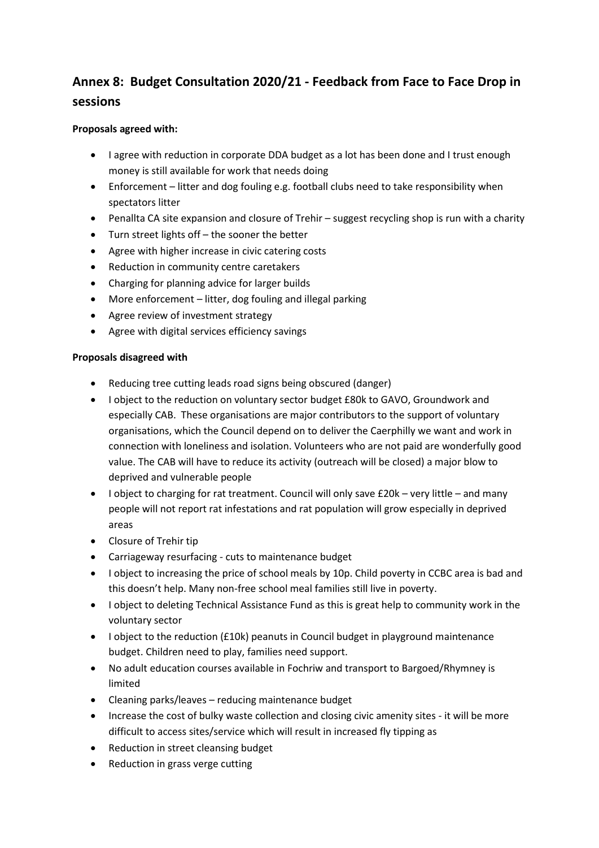# **Annex 8: Budget Consultation 2020/21 - Feedback from Face to Face Drop in sessions**

## **Proposals agreed with:**

- I agree with reduction in corporate DDA budget as a lot has been done and I trust enough money is still available for work that needs doing
- Enforcement litter and dog fouling e.g. football clubs need to take responsibility when spectators litter
- Penallta CA site expansion and closure of Trehir suggest recycling shop is run with a charity
- Turn street lights off the sooner the better
- Agree with higher increase in civic catering costs
- Reduction in community centre caretakers
- Charging for planning advice for larger builds
- More enforcement litter, dog fouling and illegal parking
- Agree review of investment strategy
- Agree with digital services efficiency savings

### **Proposals disagreed with**

- Reducing tree cutting leads road signs being obscured (danger)
- I object to the reduction on voluntary sector budget £80k to GAVO, Groundwork and especially CAB. These organisations are major contributors to the support of voluntary organisations, which the Council depend on to deliver the Caerphilly we want and work in connection with loneliness and isolation. Volunteers who are not paid are wonderfully good value. The CAB will have to reduce its activity (outreach will be closed) a major blow to deprived and vulnerable people
- I object to charging for rat treatment. Council will only save £20k very little and many people will not report rat infestations and rat population will grow especially in deprived areas
- Closure of Trehir tip
- Carriageway resurfacing cuts to maintenance budget
- I object to increasing the price of school meals by 10p. Child poverty in CCBC area is bad and this doesn't help. Many non-free school meal families still live in poverty.
- I object to deleting Technical Assistance Fund as this is great help to community work in the voluntary sector
- I object to the reduction (£10k) peanuts in Council budget in playground maintenance budget. Children need to play, families need support.
- No adult education courses available in Fochriw and transport to Bargoed/Rhymney is limited
- Cleaning parks/leaves reducing maintenance budget
- Increase the cost of bulky waste collection and closing civic amenity sites it will be more difficult to access sites/service which will result in increased fly tipping as
- Reduction in street cleansing budget
- Reduction in grass verge cutting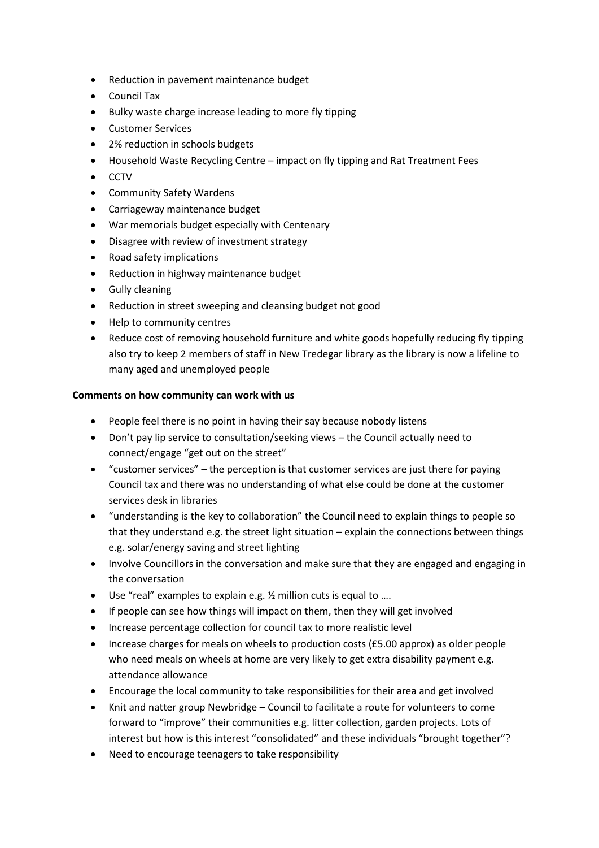- Reduction in pavement maintenance budget
- Council Tax
- Bulky waste charge increase leading to more fly tipping
- Customer Services
- 2% reduction in schools budgets
- Household Waste Recycling Centre impact on fly tipping and Rat Treatment Fees
- $\bullet$  CCTV
- Community Safety Wardens
- Carriageway maintenance budget
- War memorials budget especially with Centenary
- Disagree with review of investment strategy
- Road safety implications
- Reduction in highway maintenance budget
- **•** Gully cleaning
- Reduction in street sweeping and cleansing budget not good
- Help to community centres
- Reduce cost of removing household furniture and white goods hopefully reducing fly tipping also try to keep 2 members of staff in New Tredegar library as the library is now a lifeline to many aged and unemployed people

### **Comments on how community can work with us**

- People feel there is no point in having their say because nobody listens
- Don't pay lip service to consultation/seeking views the Council actually need to connect/engage "get out on the street"
- $\bullet$  "customer services" the perception is that customer services are just there for paying Council tax and there was no understanding of what else could be done at the customer services desk in libraries
- "understanding is the key to collaboration" the Council need to explain things to people so that they understand e.g. the street light situation – explain the connections between things e.g. solar/energy saving and street lighting
- Involve Councillors in the conversation and make sure that they are engaged and engaging in the conversation
- Use "real" examples to explain e.g. ½ million cuts is equal to ....
- If people can see how things will impact on them, then they will get involved
- Increase percentage collection for council tax to more realistic level
- Increase charges for meals on wheels to production costs (£5.00 approx) as older people who need meals on wheels at home are very likely to get extra disability payment e.g. attendance allowance
- Encourage the local community to take responsibilities for their area and get involved
- Knit and natter group Newbridge Council to facilitate a route for volunteers to come forward to "improve" their communities e.g. litter collection, garden projects. Lots of interest but how is this interest "consolidated" and these individuals "brought together"?
- Need to encourage teenagers to take responsibility